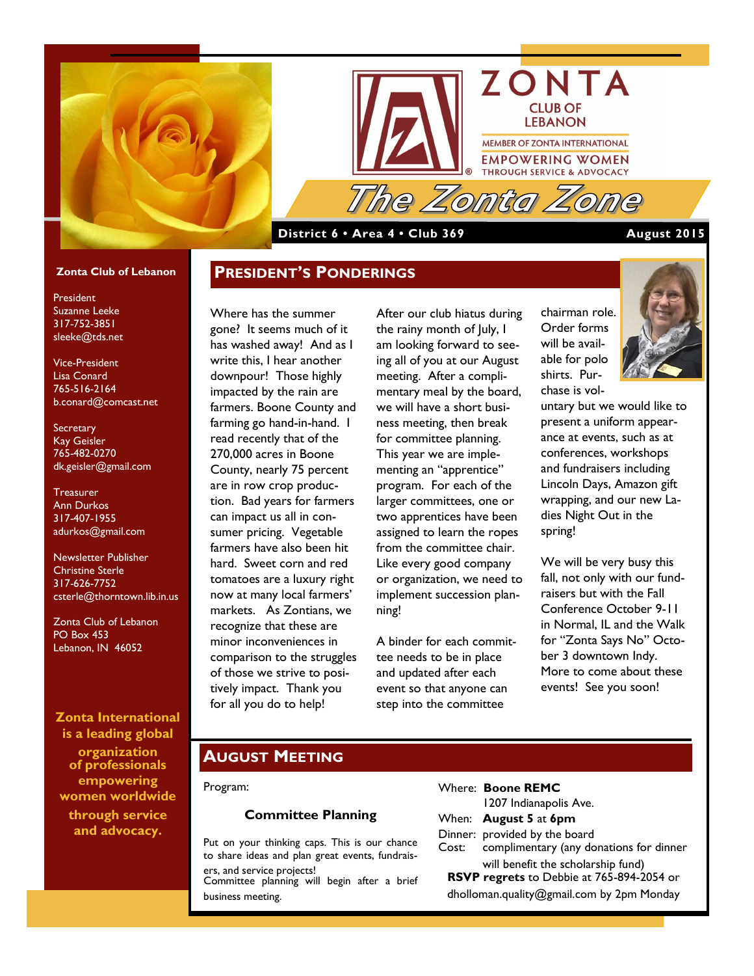



### **District 6 • Area 4 • Club 369 August 2015**

#### **Zonta Club of Lebanon**

President Suzanne Leeke 317-752-3851 sleeke@tds.net

Vice-President Lisa Conard 765-516-2164 b.conard@comcast.net

**Secretary** Kay Geisler 765-482-0270 dk.geisler@gmail.com

**Treasurer** Ann Durkos 317-407-1955 adurkos@gmail.com

Newsletter Publisher Christine Sterle 317-626-7752 csterle@thorntown.lib.in.us

Zonta Club of Lebanon PO Box 453 Lebanon, IN 46052

#### **Zonta International is a leading global**

**organization of professionals empowering women worldwide through service and advocacy.**

### **PRESIDENT'S PONDERINGS**

Where has the summer gone? It seems much of it has washed away! And as I write this, I hear another downpour! Those highly impacted by the rain are farmers. Boone County and farming go hand-in-hand. I read recently that of the 270,000 acres in Boone County, nearly 75 percent are in row crop production. Bad years for farmers can impact us all in consumer pricing. Vegetable farmers have also been hit hard. Sweet corn and red tomatoes are a luxury right now at many local farmers' markets. As Zontians, we recognize that these are minor inconveniences in comparison to the struggles of those we strive to positively impact. Thank you for all you do to help!

After our club hiatus during the rainy month of July, I am looking forward to seeing all of you at our August meeting. After a complimentary meal by the board, we will have a short business meeting, then break for committee planning. This year we are implementing an "apprentice" program. For each of the larger committees, one or two apprentices have been assigned to learn the ropes from the committee chair. Like every good company or organization, we need to implement succession planning!

A binder for each committee needs to be in place and updated after each event so that anyone can step into the committee

chairman role. Order forms will be available for polo shirts. Purchase is vol-

untary but we would like to present a uniform appearance at events, such as at conferences, workshops and fundraisers including Lincoln Days, Amazon gift wrapping, and our new Ladies Night Out in the spring!

We will be very busy this fall, not only with our fundraisers but with the Fall Conference October 9-11 in Normal, IL and the Walk for "Zonta Says No" October 3 downtown Indy. More to come about these events! See you soon!

### **AUGUST MEETING**

#### Program:

#### **Committee Planning**

Put on your thinking caps. This is our chance to share ideas and plan great events, fundraisers, and service projects! Committee planning will begin after a brief

business meeting.

#### Where: **Boone REMC**

|                                           | 1207 Indianapolis Ave.                                                          |
|-------------------------------------------|---------------------------------------------------------------------------------|
|                                           | When: <b>August 5</b> at 6pm                                                    |
|                                           | Dinner: provided by the board<br>Cost: complimentary (any donations for dinner  |
|                                           | will benefit the scholarship fund)<br>RSVP regrets to Debbie at 765-894-2054 or |
| dholloman.quality@gmail.com by 2pm Monday |                                                                                 |